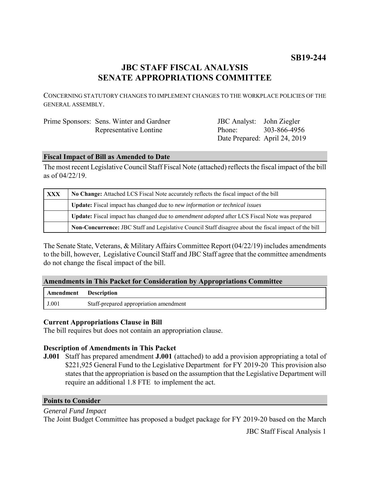## **JBC STAFF FISCAL ANALYSIS SENATE APPROPRIATIONS COMMITTEE**

CONCERNING STATUTORY CHANGES TO IMPLEMENT CHANGES TO THE WORKPLACE POLICIES OF THE GENERAL ASSEMBLY.

| Prime Sponsors: Sens. Winter and Gardner |  |                        |
|------------------------------------------|--|------------------------|
|                                          |  | Representative Lontine |

JBC Analyst: John Ziegler Phone: Date Prepared: April 24, 2019 303-866-4956

#### **Fiscal Impact of Bill as Amended to Date**

The most recent Legislative Council Staff Fiscal Note (attached) reflects the fiscal impact of the bill as of 04/22/19.

| <b>XXX</b> | No Change: Attached LCS Fiscal Note accurately reflects the fiscal impact of the bill                       |
|------------|-------------------------------------------------------------------------------------------------------------|
|            | Update: Fiscal impact has changed due to new information or technical issues                                |
|            | <b>Update:</b> Fiscal impact has changed due to <i>amendment adopted</i> after LCS Fiscal Note was prepared |
|            | Non-Concurrence: JBC Staff and Legislative Council Staff disagree about the fiscal impact of the bill       |

The Senate State, Veterans, & Military Affairs Committee Report (04/22/19) includes amendments to the bill, however, Legislative Council Staff and JBC Staff agree that the committee amendments do not change the fiscal impact of the bill.

### **Amendments in This Packet for Consideration by Appropriations Committee**

| <b>Amendment</b> Description |                                        |
|------------------------------|----------------------------------------|
| J.001                        | Staff-prepared appropriation amendment |

#### **Current Appropriations Clause in Bill**

The bill requires but does not contain an appropriation clause.

#### **Description of Amendments in This Packet**

**J.001** Staff has prepared amendment **J.001** (attached) to add a provision appropriating a total of \$221,925 General Fund to the Legislative Department for FY 2019-20 This provision also states that the appropriation is based on the assumption that the Legislative Department will require an additional 1.8 FTE to implement the act.

#### **Points to Consider**

*General Fund Impact* The Joint Budget Committee has proposed a budget package for FY 2019-20 based on the March